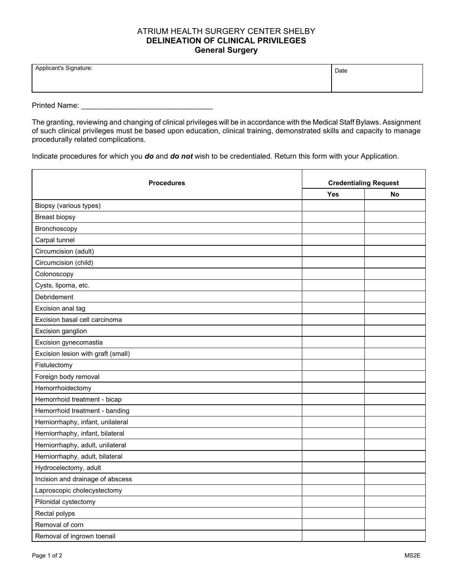## ATRIUM HEALTH SURGERY CENTER SHELBY **DELINEATION OF CLINICAL PRIVILEGES General Surgery**

| Applicant's Signature: | Date |
|------------------------|------|
|                        |      |

Printed Name: **Example 20** 

The granting, reviewing and changing of clinical privileges will be in accordance with the Medical Staff Bylaws. Assignment of such clinical privileges must be based upon education, clinical training, demonstrated skills and capacity to manage procedurally related complications.

Indicate procedures for which you *do* and *do not* wish to be credentialed. Return this form with your Application.

| <b>Procedures</b>                  | <b>Credentialing Request</b> |           |
|------------------------------------|------------------------------|-----------|
|                                    | Yes                          | <b>No</b> |
| Biopsy (various types)             |                              |           |
| <b>Breast biopsy</b>               |                              |           |
| Bronchoscopy                       |                              |           |
| Carpal tunnel                      |                              |           |
| Circumcision (adult)               |                              |           |
| Circumcision (child)               |                              |           |
| Colonoscopy                        |                              |           |
| Cysts, lipoma, etc.                |                              |           |
| Debridement                        |                              |           |
| Excision anal tag                  |                              |           |
| Excision basal cell carcinoma      |                              |           |
| Excision ganglion                  |                              |           |
| Excision gynecomastia              |                              |           |
| Excision lesion with graft (small) |                              |           |
| Fistulectomy                       |                              |           |
| Foreign body removal               |                              |           |
| Hemorrhoidectomy                   |                              |           |
| Hemorrhoid treatment - bicap       |                              |           |
| Hemorrhoid treatment - banding     |                              |           |
| Herniorrhaphy, infant, unilateral  |                              |           |
| Herniorrhaphy, infant, bilateral   |                              |           |
| Herniorrhaphy, adult, unilateral   |                              |           |
| Herniorrhaphy, adult, bilateral    |                              |           |
| Hydrocelectomy, adult              |                              |           |
| Incision and drainage of abscess   |                              |           |
| Laproscopic cholecystectomy        |                              |           |
| Pilonidal cystectomy               |                              |           |
| Rectal polyps                      |                              |           |
| Removal of corn                    |                              |           |
| Removal of ingrown toenail         |                              |           |